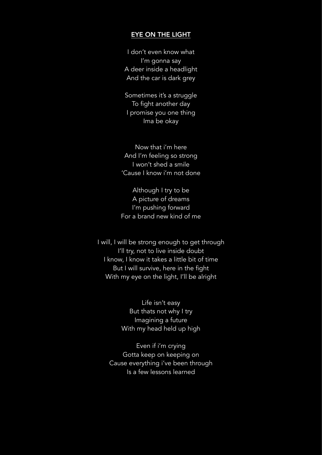## EYE ON THE LIGHT

I don't even know what I'm gonna say A deer inside a headlight And the car is dark grey

Sometimes it's a struggle To fight another day I promise you one thing Ima be okay

Now that i'm here And I'm feeling so strong I won't shed a smile 'Cause I know i'm not done

Although I try to be A picture of dreams I'm pushing forward For a brand new kind of me

I will, I will be strong enough to get through I'll try, not to live inside doubt I know, I know it takes a little bit of time But I will survive, here in the fight With my eye on the light, I'll be alright

> Life isn't easy But thats not why I try Imagining a future With my head held up high

Even if i'm crying Gotta keep on keeping on Cause everything i've been through Is a few lessons learned